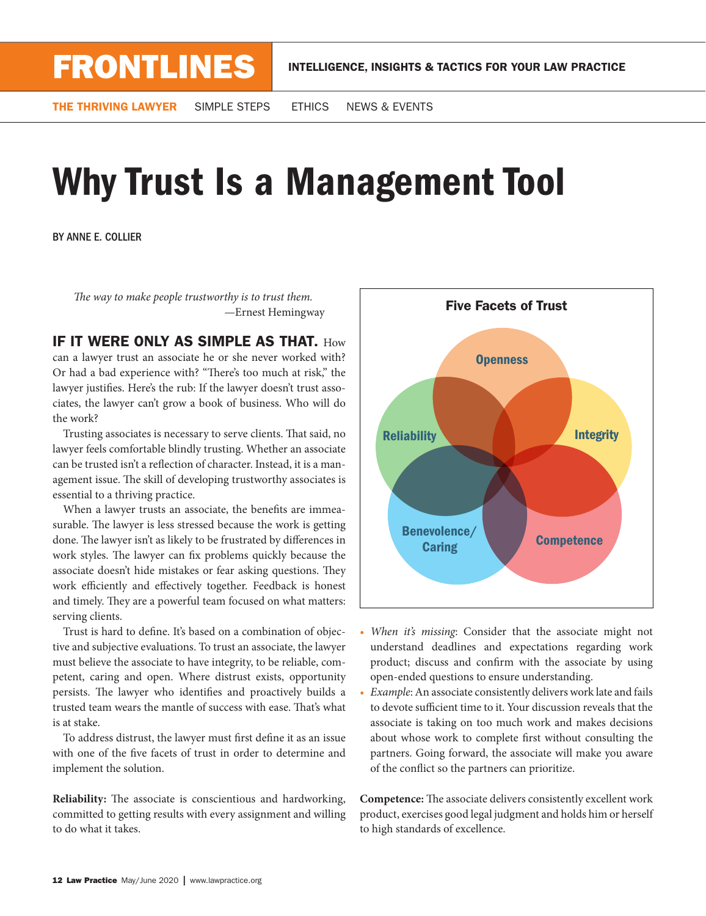THE THRIVING LAWYER SIMPLE STEPS ETHICS NEWS & EVENTS

## Why Trust Is a Management Tool

BY ANNE E. COLLIER

The way to make people trustworthy is to trust them. —Ernest Hemingway

## IF IT WERE ONLY AS SIMPLE AS THAT. How

can a lawyer trust an associate he or she never worked with? Or had a bad experience with? "There's too much at risk," the lawyer justifes. Here's the rub: If the lawyer doesn't trust associates, the lawyer can't grow a book of business. Who will do the work?

Trusting associates is necessary to serve clients. That said, no lawyer feels comfortable blindly trusting. Whether an associate can be trusted isn't a refection of character. Instead, it is a management issue. The skill of developing trustworthy associates is essential to a thriving practice.

When a lawyer trusts an associate, the benefts are immeasurable. The lawyer is less stressed because the work is getting done. The lawyer isn't as likely to be frustrated by differences in work styles. The lawyer can fix problems quickly because the associate doesn't hide mistakes or fear asking questions. They work efficiently and effectively together. Feedback is honest and timely. They are a powerful team focused on what matters: serving clients.

Trust is hard to defne. It's based on a combination of objective and subjective evaluations. To trust an associate, the lawyer must believe the associate to have integrity, to be reliable, competent, caring and open. Where distrust exists, opportunity persists. The lawyer who identifies and proactively builds a trusted team wears the mantle of success with ease. That's what is at stake.

To address distrust, the lawyer must frst defne it as an issue with one of the fve facets of trust in order to determine and implement the solution.

**Reliability:** The associate is conscientious and hardworking, committed to getting results with every assignment and willing to do what it takes.



- *When it's missing*: Consider that the associate might not understand deadlines and expectations regarding work product; discuss and confrm with the associate by using open-ended questions to ensure understanding.
- *Example*: An associate consistently delivers work late and fails to devote sufficient time to it. Your discussion reveals that the associate is taking on too much work and makes decisions about whose work to complete frst without consulting the partners. Going forward, the associate will make you aware of the confict so the partners can prioritize.

**Competence:** The associate delivers consistently excellent work product, exercises good legal judgment and holds him or herself to high standards of excellence.